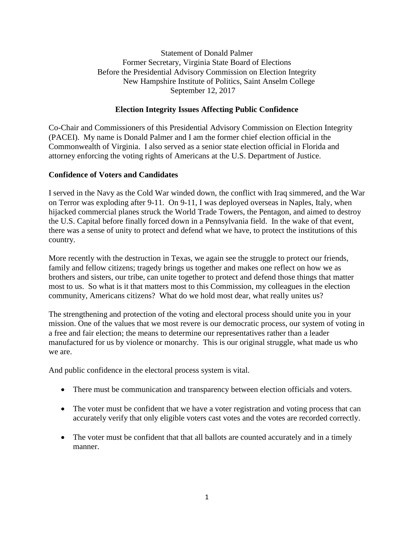Statement of Donald Palmer Former Secretary, Virginia State Board of Elections Before the Presidential Advisory Commission on Election Integrity New Hampshire Institute of Politics, Saint Anselm College September 12, 2017

# **Election Integrity Issues Affecting Public Confidence**

Co-Chair and Commissioners of this Presidential Advisory Commission on Election Integrity (PACEI). My name is Donald Palmer and I am the former chief election official in the Commonwealth of Virginia. I also served as a senior state election official in Florida and attorney enforcing the voting rights of Americans at the U.S. Department of Justice.

# **Confidence of Voters and Candidates**

I served in the Navy as the Cold War winded down, the conflict with Iraq simmered, and the War on Terror was exploding after 9-11. On 9-11, I was deployed overseas in Naples, Italy, when hijacked commercial planes struck the World Trade Towers, the Pentagon, and aimed to destroy the U.S. Capital before finally forced down in a Pennsylvania field. In the wake of that event, there was a sense of unity to protect and defend what we have, to protect the institutions of this country.

More recently with the destruction in Texas, we again see the struggle to protect our friends, family and fellow citizens; tragedy brings us together and makes one reflect on how we as brothers and sisters, our tribe, can unite together to protect and defend those things that matter most to us. So what is it that matters most to this Commission, my colleagues in the election community, Americans citizens? What do we hold most dear, what really unites us?

The strengthening and protection of the voting and electoral process should unite you in your mission. One of the values that we most revere is our democratic process, our system of voting in a free and fair election; the means to determine our representatives rather than a leader manufactured for us by violence or monarchy. This is our original struggle, what made us who we are.

And public confidence in the electoral process system is vital.

- There must be communication and transparency between election officials and voters.
- The voter must be confident that we have a voter registration and voting process that can accurately verify that only eligible voters cast votes and the votes are recorded correctly.
- The voter must be confident that that all ballots are counted accurately and in a timely manner.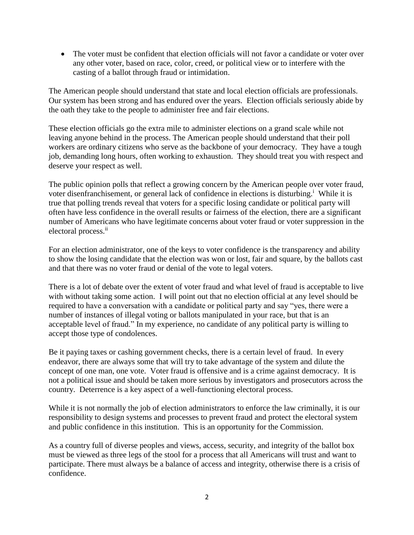The voter must be confident that election officials will not favor a candidate or voter over any other voter, based on race, color, creed, or political view or to interfere with the casting of a ballot through fraud or intimidation.

The American people should understand that state and local election officials are professionals. Our system has been strong and has endured over the years. Election officials seriously abide by the oath they take to the people to administer free and fair elections.

These election officials go the extra mile to administer elections on a grand scale while not leaving anyone behind in the process. The American people should understand that their poll workers are ordinary citizens who serve as the backbone of your democracy. They have a tough job, demanding long hours, often working to exhaustion. They should treat you with respect and deserve your respect as well.

The public opinion polls that reflect a growing concern by the American people over voter fraud, voter disenfranchisement, or general lack of confidence in elections is disturbing.<sup>i</sup> While it is true that polling trends reveal that voters for a specific losing candidate or political party will often have less confidence in the overall results or fairness of the election, there are a significant number of Americans who have legitimate concerns about voter fraud or voter suppression in the electoral process.<sup>ii</sup>

For an election administrator, one of the keys to voter confidence is the transparency and ability to show the losing candidate that the election was won or lost, fair and square, by the ballots cast and that there was no voter fraud or denial of the vote to legal voters.

There is a lot of debate over the extent of voter fraud and what level of fraud is acceptable to live with without taking some action. I will point out that no election official at any level should be required to have a conversation with a candidate or political party and say "yes, there were a number of instances of illegal voting or ballots manipulated in your race, but that is an acceptable level of fraud." In my experience, no candidate of any political party is willing to accept those type of condolences.

Be it paying taxes or cashing government checks, there is a certain level of fraud. In every endeavor, there are always some that will try to take advantage of the system and dilute the concept of one man, one vote. Voter fraud is offensive and is a crime against democracy. It is not a political issue and should be taken more serious by investigators and prosecutors across the country. Deterrence is a key aspect of a well-functioning electoral process.

While it is not normally the job of election administrators to enforce the law criminally, it is our responsibility to design systems and processes to prevent fraud and protect the electoral system and public confidence in this institution. This is an opportunity for the Commission.

As a country full of diverse peoples and views, access, security, and integrity of the ballot box must be viewed as three legs of the stool for a process that all Americans will trust and want to participate. There must always be a balance of access and integrity, otherwise there is a crisis of confidence.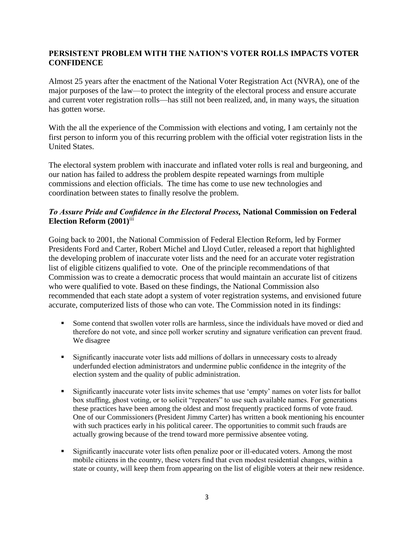# **PERSISTENT PROBLEM WITH THE NATION'S VOTER ROLLS IMPACTS VOTER CONFIDENCE**

Almost 25 years after the enactment of the National Voter Registration Act (NVRA), one of the major purposes of the law—to protect the integrity of the electoral process and ensure accurate and current voter registration rolls—has still not been realized, and, in many ways, the situation has gotten worse.

With the all the experience of the Commission with elections and voting, I am certainly not the first person to inform you of this recurring problem with the official voter registration lists in the United States.

The electoral system problem with inaccurate and inflated voter rolls is real and burgeoning, and our nation has failed to address the problem despite repeated warnings from multiple commissions and election officials. The time has come to use new technologies and coordination between states to finally resolve the problem.

# *To Assure Pride and Confidence in the Electoral Process,* **National Commission on Federal Election Reform (2001)**iii

Going back to 2001, the National Commission of Federal Election Reform, led by Former Presidents Ford and Carter, Robert Michel and Lloyd Cutler, released a report that highlighted the developing problem of inaccurate voter lists and the need for an accurate voter registration list of eligible citizens qualified to vote. One of the principle recommendations of that Commission was to create a democratic process that would maintain an accurate list of citizens who were qualified to vote. Based on these findings, the National Commission also recommended that each state adopt a system of voter registration systems, and envisioned future accurate, computerized lists of those who can vote. The Commission noted in its findings:

- Some contend that swollen voter rolls are harmless, since the individuals have moved or died and therefore do not vote, and since poll worker scrutiny and signature verification can prevent fraud. We disagree
- Significantly inaccurate voter lists add millions of dollars in unnecessary costs to already underfunded election administrators and undermine public confidence in the integrity of the election system and the quality of public administration.
- Significantly inaccurate voter lists invite schemes that use 'empty' names on voter lists for ballot box stuffing, ghost voting, or to solicit "repeaters" to use such available names. For generations these practices have been among the oldest and most frequently practiced forms of vote fraud. One of our Commissioners (President Jimmy Carter) has written a book mentioning his encounter with such practices early in his political career. The opportunities to commit such frauds are actually growing because of the trend toward more permissive absentee voting.
- Significantly inaccurate voter lists often penalize poor or ill-educated voters. Among the most mobile citizens in the country, these voters find that even modest residential changes, within a state or county, will keep them from appearing on the list of eligible voters at their new residence.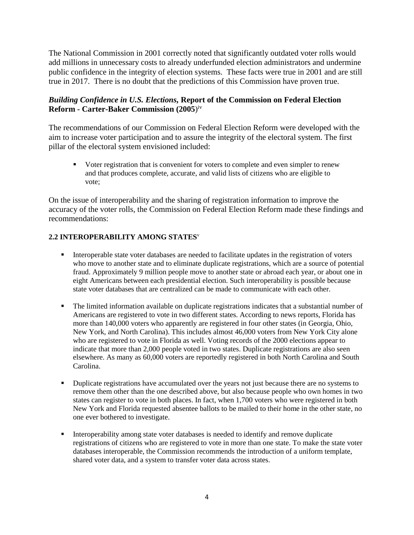The National Commission in 2001 correctly noted that significantly outdated voter rolls would add millions in unnecessary costs to already underfunded election administrators and undermine public confidence in the integrity of election systems. These facts were true in 2001 and are still true in 2017. There is no doubt that the predictions of this Commission have proven true.

### *Building Confidence in U.S. Elections,* **Report of the Commission on Federal Election Reform - Carter-Baker Commission (2005**) iv

The recommendations of our Commission on Federal Election Reform were developed with the aim to increase voter participation and to assure the integrity of the electoral system. The first pillar of the electoral system envisioned included:

 Voter registration that is convenient for voters to complete and even simpler to renew and that produces complete, accurate, and valid lists of citizens who are eligible to vote;

On the issue of interoperability and the sharing of registration information to improve the accuracy of the voter rolls, the Commission on Federal Election Reform made these findings and recommendations:

#### **2.2 INTEROPERABILITY AMONG STATES**<sup>v</sup>

- Interoperable state voter databases are needed to facilitate updates in the registration of voters who move to another state and to eliminate duplicate registrations, which are a source of potential fraud. Approximately 9 million people move to another state or abroad each year, or about one in eight Americans between each presidential election. Such interoperability is possible because state voter databases that are centralized can be made to communicate with each other.
- The limited information available on duplicate registrations indicates that a substantial number of Americans are registered to vote in two different states. According to news reports, Florida has more than 140,000 voters who apparently are registered in four other states (in Georgia, Ohio, New York, and North Carolina). This includes almost 46,000 voters from New York City alone who are registered to vote in Florida as well. Voting records of the 2000 elections appear to indicate that more than 2,000 people voted in two states. Duplicate registrations are also seen elsewhere. As many as 60,000 voters are reportedly registered in both North Carolina and South Carolina.
- **Duplicate registrations have accumulated over the years not just because there are no systems to** remove them other than the one described above, but also because people who own homes in two states can register to vote in both places. In fact, when 1,700 voters who were registered in both New York and Florida requested absentee ballots to be mailed to their home in the other state, no one ever bothered to investigate.
- **Interoperability among state voter databases is needed to identify and remove duplicate** registrations of citizens who are registered to vote in more than one state. To make the state voter databases interoperable, the Commission recommends the introduction of a uniform template, shared voter data, and a system to transfer voter data across states.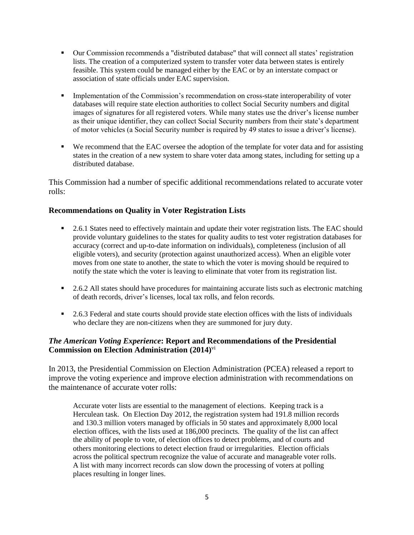- Our Commission recommends a "distributed database" that will connect all states' registration lists. The creation of a computerized system to transfer voter data between states is entirely feasible. This system could be managed either by the EAC or by an interstate compact or association of state officials under EAC supervision.
- **Implementation of the Commission's recommendation on cross-state interoperability of voter** databases will require state election authorities to collect Social Security numbers and digital images of signatures for all registered voters. While many states use the driver's license number as their unique identifier, they can collect Social Security numbers from their state's department of motor vehicles (a Social Security number is required by 49 states to issue a driver's license).
- We recommend that the EAC oversee the adoption of the template for voter data and for assisting states in the creation of a new system to share voter data among states, including for setting up a distributed database.

This Commission had a number of specific additional recommendations related to accurate voter rolls:

#### **Recommendations on Quality in Voter Registration Lists**

- **2.6.1** States need to effectively maintain and update their voter registration lists. The EAC should provide voluntary guidelines to the states for quality audits to test voter registration databases for accuracy (correct and up-to-date information on individuals), completeness (inclusion of all eligible voters), and security (protection against unauthorized access). When an eligible voter moves from one state to another, the state to which the voter is moving should be required to notify the state which the voter is leaving to eliminate that voter from its registration list.
- 2.6.2 All states should have procedures for maintaining accurate lists such as electronic matching of death records, driver's licenses, local tax rolls, and felon records.
- **2.6.3 Federal and state courts should provide state election offices with the lists of individuals** who declare they are non-citizens when they are summoned for jury duty.

### *The American Voting Experience***: Report and Recommendations of the Presidential Commission on Election Administration (2014)** vi

In 2013, the Presidential Commission on Election Administration (PCEA) released a report to improve the voting experience and improve election administration with recommendations on the maintenance of accurate voter rolls:

Accurate voter lists are essential to the management of elections. Keeping track is a Herculean task. On Election Day 2012, the registration system had 191.8 million records and 130.3 million voters managed by officials in 50 states and approximately 8,000 local election offices, with the lists used at 186,000 precincts. The quality of the list can affect the ability of people to vote, of election offices to detect problems, and of courts and others monitoring elections to detect election fraud or irregularities. Election officials across the political spectrum recognize the value of accurate and manageable voter rolls. A list with many incorrect records can slow down the processing of voters at polling places resulting in longer lines.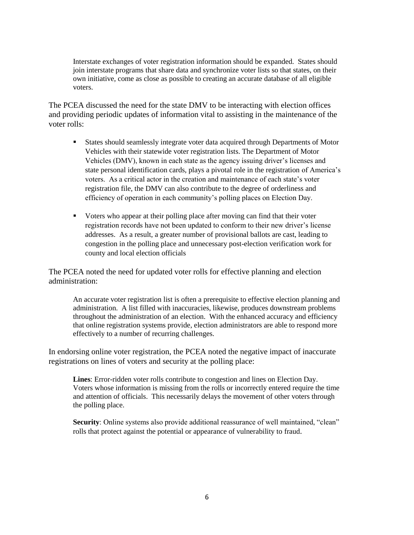Interstate exchanges of voter registration information should be expanded. States should join interstate programs that share data and synchronize voter lists so that states, on their own initiative, come as close as possible to creating an accurate database of all eligible voters.

The PCEA discussed the need for the state DMV to be interacting with election offices and providing periodic updates of information vital to assisting in the maintenance of the voter rolls:

- States should seamlessly integrate voter data acquired through Departments of Motor Vehicles with their statewide voter registration lists. The Department of Motor Vehicles (DMV), known in each state as the agency issuing driver's licenses and state personal identification cards, plays a pivotal role in the registration of America's voters. As a critical actor in the creation and maintenance of each state's voter registration file, the DMV can also contribute to the degree of orderliness and efficiency of operation in each community's polling places on Election Day.
- Voters who appear at their polling place after moving can find that their voter registration records have not been updated to conform to their new driver's license addresses. As a result, a greater number of provisional ballots are cast, leading to congestion in the polling place and unnecessary post-election verification work for county and local election officials

The PCEA noted the need for updated voter rolls for effective planning and election administration:

An accurate voter registration list is often a prerequisite to effective election planning and administration. A list filled with inaccuracies, likewise, produces downstream problems throughout the administration of an election. With the enhanced accuracy and efficiency that online registration systems provide, election administrators are able to respond more effectively to a number of recurring challenges.

In endorsing online voter registration, the PCEA noted the negative impact of inaccurate registrations on lines of voters and security at the polling place:

**Lines**: Error-ridden voter rolls contribute to congestion and lines on Election Day. Voters whose information is missing from the rolls or incorrectly entered require the time and attention of officials. This necessarily delays the movement of other voters through the polling place.

**Security**: Online systems also provide additional reassurance of well maintained, "clean" rolls that protect against the potential or appearance of vulnerability to fraud.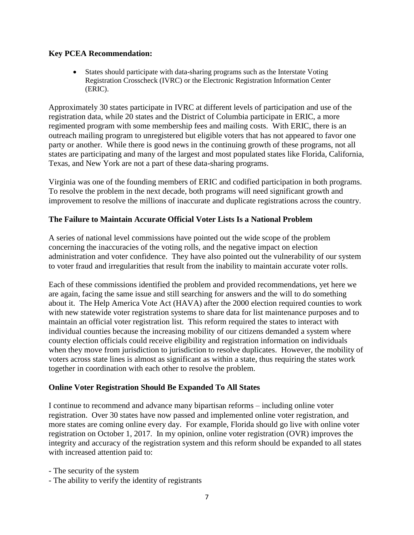#### **Key PCEA Recommendation:**

 States should participate with data-sharing programs such as the Interstate Voting Registration Crosscheck (IVRC) or the Electronic Registration Information Center (ERIC).

Approximately 30 states participate in IVRC at different levels of participation and use of the registration data, while 20 states and the District of Columbia participate in ERIC, a more regimented program with some membership fees and mailing costs. With ERIC, there is an outreach mailing program to unregistered but eligible voters that has not appeared to favor one party or another. While there is good news in the continuing growth of these programs, not all states are participating and many of the largest and most populated states like Florida, California, Texas, and New York are not a part of these data-sharing programs.

Virginia was one of the founding members of ERIC and codified participation in both programs. To resolve the problem in the next decade, both programs will need significant growth and improvement to resolve the millions of inaccurate and duplicate registrations across the country.

#### **The Failure to Maintain Accurate Official Voter Lists Is a National Problem**

A series of national level commissions have pointed out the wide scope of the problem concerning the inaccuracies of the voting rolls, and the negative impact on election administration and voter confidence. They have also pointed out the vulnerability of our system to voter fraud and irregularities that result from the inability to maintain accurate voter rolls.

Each of these commissions identified the problem and provided recommendations, yet here we are again, facing the same issue and still searching for answers and the will to do something about it. The Help America Vote Act (HAVA) after the 2000 election required counties to work with new statewide voter registration systems to share data for list maintenance purposes and to maintain an official voter registration list. This reform required the states to interact with individual counties because the increasing mobility of our citizens demanded a system where county election officials could receive eligibility and registration information on individuals when they move from jurisdiction to jurisdiction to resolve duplicates. However, the mobility of voters across state lines is almost as significant as within a state, thus requiring the states work together in coordination with each other to resolve the problem.

#### **Online Voter Registration Should Be Expanded To All States**

I continue to recommend and advance many bipartisan reforms – including online voter registration. Over 30 states have now passed and implemented online voter registration, and more states are coming online every day. For example, Florida should go live with online voter registration on October 1, 2017. In my opinion, online voter registration (OVR) improves the integrity and accuracy of the registration system and this reform should be expanded to all states with increased attention paid to:

- The security of the system
- The ability to verify the identity of registrants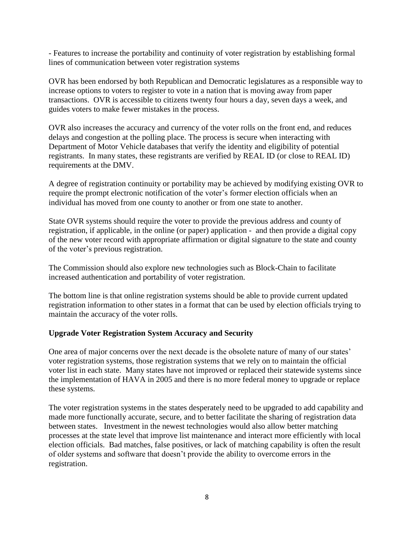- Features to increase the portability and continuity of voter registration by establishing formal lines of communication between voter registration systems

OVR has been endorsed by both Republican and Democratic legislatures as a responsible way to increase options to voters to register to vote in a nation that is moving away from paper transactions. OVR is accessible to citizens twenty four hours a day, seven days a week, and guides voters to make fewer mistakes in the process.

OVR also increases the accuracy and currency of the voter rolls on the front end, and reduces delays and congestion at the polling place. The process is secure when interacting with Department of Motor Vehicle databases that verify the identity and eligibility of potential registrants. In many states, these registrants are verified by REAL ID (or close to REAL ID) requirements at the DMV.

A degree of registration continuity or portability may be achieved by modifying existing OVR to require the prompt electronic notification of the voter's former election officials when an individual has moved from one county to another or from one state to another.

State OVR systems should require the voter to provide the previous address and county of registration, if applicable, in the online (or paper) application - and then provide a digital copy of the new voter record with appropriate affirmation or digital signature to the state and county of the voter's previous registration.

The Commission should also explore new technologies such as Block-Chain to facilitate increased authentication and portability of voter registration.

The bottom line is that online registration systems should be able to provide current updated registration information to other states in a format that can be used by election officials trying to maintain the accuracy of the voter rolls.

# **Upgrade Voter Registration System Accuracy and Security**

One area of major concerns over the next decade is the obsolete nature of many of our states' voter registration systems, those registration systems that we rely on to maintain the official voter list in each state. Many states have not improved or replaced their statewide systems since the implementation of HAVA in 2005 and there is no more federal money to upgrade or replace these systems.

The voter registration systems in the states desperately need to be upgraded to add capability and made more functionally accurate, secure, and to better facilitate the sharing of registration data between states. Investment in the newest technologies would also allow better matching processes at the state level that improve list maintenance and interact more efficiently with local election officials. Bad matches, false positives, or lack of matching capability is often the result of older systems and software that doesn't provide the ability to overcome errors in the registration.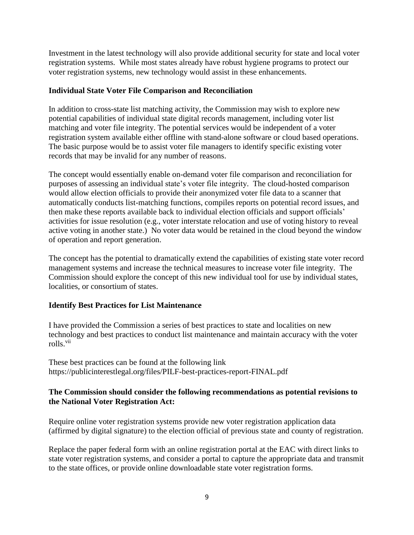Investment in the latest technology will also provide additional security for state and local voter registration systems. While most states already have robust hygiene programs to protect our voter registration systems, new technology would assist in these enhancements.

### **Individual State Voter File Comparison and Reconciliation**

In addition to cross-state list matching activity, the Commission may wish to explore new potential capabilities of individual state digital records management, including voter list matching and voter file integrity. The potential services would be independent of a voter registration system available either offline with stand-alone software or cloud based operations. The basic purpose would be to assist voter file managers to identify specific existing voter records that may be invalid for any number of reasons.

The concept would essentially enable on-demand voter file comparison and reconciliation for purposes of assessing an individual state's voter file integrity. The cloud-hosted comparison would allow election officials to provide their anonymized voter file data to a scanner that automatically conducts list-matching functions, compiles reports on potential record issues, and then make these reports available back to individual election officials and support officials' activities for issue resolution (e.g., voter interstate relocation and use of voting history to reveal active voting in another state.) No voter data would be retained in the cloud beyond the window of operation and report generation.

The concept has the potential to dramatically extend the capabilities of existing state voter record management systems and increase the technical measures to increase voter file integrity. The Commission should explore the concept of this new individual tool for use by individual states, localities, or consortium of states.

# **Identify Best Practices for List Maintenance**

I have provided the Commission a series of best practices to state and localities on new technology and best practices to conduct list maintenance and maintain accuracy with the voter rolls.<sup>vii</sup>

These best practices can be found at the following link https://publicinterestlegal.org/files/PILF-best-practices-report-FINAL.pdf

# **The Commission should consider the following recommendations as potential revisions to the National Voter Registration Act:**

Require online voter registration systems provide new voter registration application data (affirmed by digital signature) to the election official of previous state and county of registration.

Replace the paper federal form with an online registration portal at the EAC with direct links to state voter registration systems, and consider a portal to capture the appropriate data and transmit to the state offices, or provide online downloadable state voter registration forms.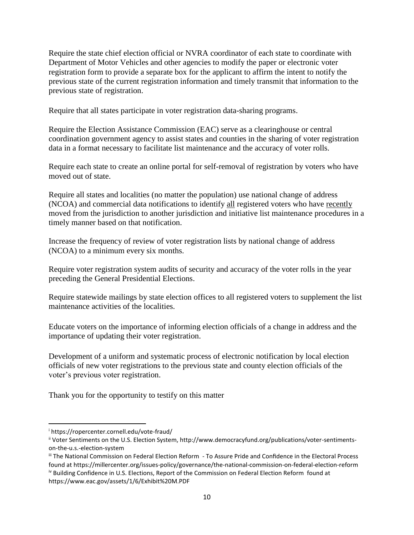Require the state chief election official or NVRA coordinator of each state to coordinate with Department of Motor Vehicles and other agencies to modify the paper or electronic voter registration form to provide a separate box for the applicant to affirm the intent to notify the previous state of the current registration information and timely transmit that information to the previous state of registration.

Require that all states participate in voter registration data-sharing programs.

Require the Election Assistance Commission (EAC) serve as a clearinghouse or central coordination government agency to assist states and counties in the sharing of voter registration data in a format necessary to facilitate list maintenance and the accuracy of voter rolls.

Require each state to create an online portal for self-removal of registration by voters who have moved out of state.

Require all states and localities (no matter the population) use national change of address (NCOA) and commercial data notifications to identify all registered voters who have recently moved from the jurisdiction to another jurisdiction and initiative list maintenance procedures in a timely manner based on that notification.

Increase the frequency of review of voter registration lists by national change of address (NCOA) to a minimum every six months.

Require voter registration system audits of security and accuracy of the voter rolls in the year preceding the General Presidential Elections.

Require statewide mailings by state election offices to all registered voters to supplement the list maintenance activities of the localities.

Educate voters on the importance of informing election officials of a change in address and the importance of updating their voter registration.

Development of a uniform and systematic process of electronic notification by local election officials of new voter registrations to the previous state and county election officials of the voter's previous voter registration.

Thank you for the opportunity to testify on this matter

 $\overline{\phantom{a}}$ 

<sup>i</sup> https://ropercenter.cornell.edu/vote-fraud/

ii Voter Sentiments on the U.S. Election System, http://www.democracyfund.org/publications/voter-sentimentson-the-u.s.-election-system

iii The National Commission on Federal Election Reform - To Assure Pride and Confidence in the Electoral Process found at https://millercenter.org/issues-policy/governance/the-national-commission-on-federal-election-reform iv Building Confidence in U.S. Elections, Report of the Commission on Federal Election Reform found at https://www.eac.gov/assets/1/6/Exhibit%20M.PDF